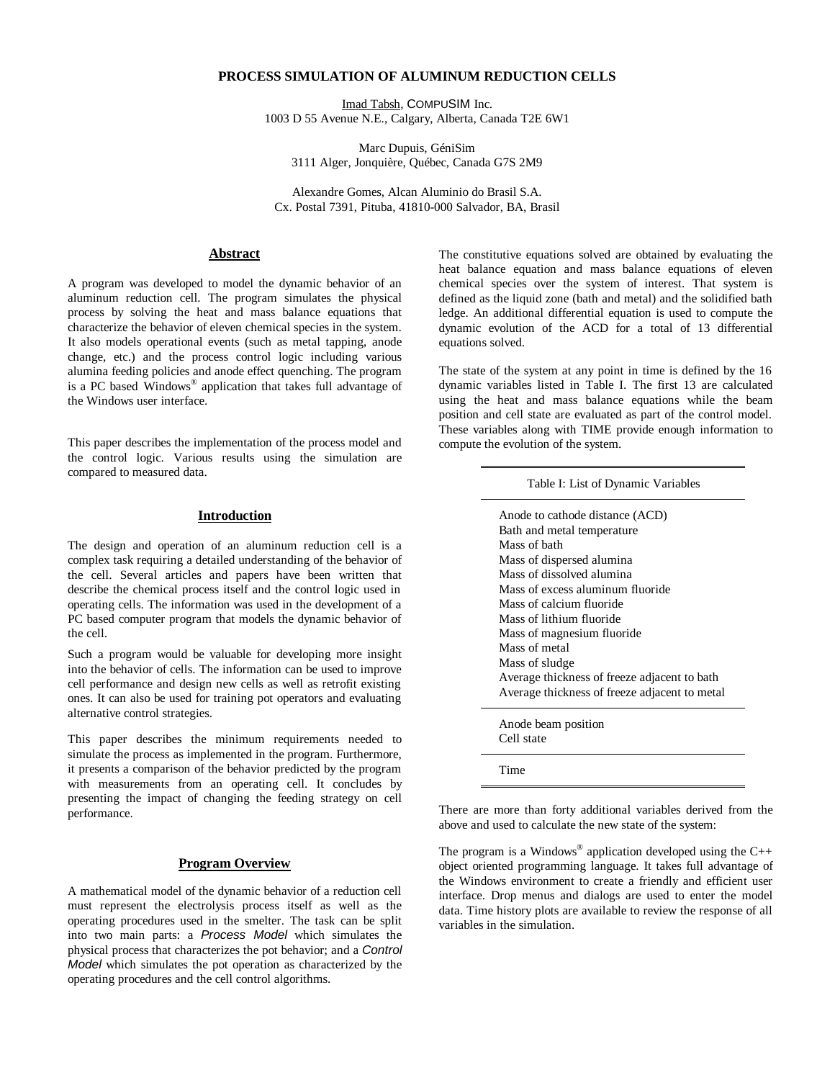# **PROCESS SIMULATION OF ALUMINUM REDUCTION CELLS**

Imad Tabsh, COMPUSIM Inc. 1003 D 55 Avenue N.E., Calgary, Alberta, Canada T2E 6W1

Marc Dupuis, GéniSim 3111 Alger, Jonquière, Québec, Canada G7S 2M9

Alexandre Gomes, Alcan Aluminio do Brasil S.A. Cx. Postal 7391, Pituba, 41810-000 Salvador, BA, Brasil

## **Abstract**

A program was developed to model the dynamic behavior of an aluminum reduction cell. The program simulates the physical process by solving the heat and mass balance equations that characterize the behavior of eleven chemical species in the system. It also models operational events (such as metal tapping, anode change, etc.) and the process control logic including various alumina feeding policies and anode effect quenching. The program is a PC based Windows® application that takes full advantage of the Windows user interface.

This paper describes the implementation of the process model and the control logic. Various results using the simulation are compared to measured data.

# **Introduction**

The design and operation of an aluminum reduction cell is a complex task requiring a detailed understanding of the behavior of the cell. Several articles and papers have been written that describe the chemical process itself and the control logic used in operating cells. The information was used in the development of a PC based computer program that models the dynamic behavior of the cell.

Such a program would be valuable for developing more insight into the behavior of cells. The information can be used to improve cell performance and design new cells as well as retrofit existing ones. It can also be used for training pot operators and evaluating alternative control strategies.

This paper describes the minimum requirements needed to simulate the process as implemented in the program. Furthermore, it presents a comparison of the behavior predicted by the program with measurements from an operating cell. It concludes by presenting the impact of changing the feeding strategy on cell performance.

### **Program Overview**

A mathematical model of the dynamic behavior of a reduction cell must represent the electrolysis process itself as well as the operating procedures used in the smelter. The task can be split into two main parts: a *Process Model* which simulates the physical process that characterizes the pot behavior; and a *Control Model* which simulates the pot operation as characterized by the operating procedures and the cell control algorithms.

The constitutive equations solved are obtained by evaluating the heat balance equation and mass balance equations of eleven chemical species over the system of interest. That system is defined as the liquid zone (bath and metal) and the solidified bath ledge. An additional differential equation is used to compute the dynamic evolution of the ACD for a total of 13 differential equations solved.

The state of the system at any point in time is defined by the 16 dynamic variables listed in Table I. The first 13 are calculated using the heat and mass balance equations while the beam position and cell state are evaluated as part of the control model. These variables along with TIME provide enough information to compute the evolution of the system.

| Table I: List of Dynamic Variables                                                                                                                                                                                                                                                                   |
|------------------------------------------------------------------------------------------------------------------------------------------------------------------------------------------------------------------------------------------------------------------------------------------------------|
| Anode to cathode distance (ACD)<br>Bath and metal temperature<br>Mass of bath<br>Mass of dispersed alumina<br>Mass of dissolved alumina<br>Mass of excess aluminum fluoride<br>Mass of calcium fluoride<br>Mass of lithium fluoride<br>Mass of magnesium fluoride<br>Mass of metal<br>Mass of sludge |
| Average thickness of freeze adjacent to bath<br>Average thickness of freeze adjacent to metal                                                                                                                                                                                                        |
| Anode beam position<br>Cell state                                                                                                                                                                                                                                                                    |

Time

There are more than forty additional variables derived from the above and used to calculate the new state of the system:

The program is a Windows<sup>®</sup> application developed using the  $C++$ object oriented programming language. It takes full advantage of the Windows environment to create a friendly and efficient user interface. Drop menus and dialogs are used to enter the model data. Time history plots are available to review the response of all variables in the simulation.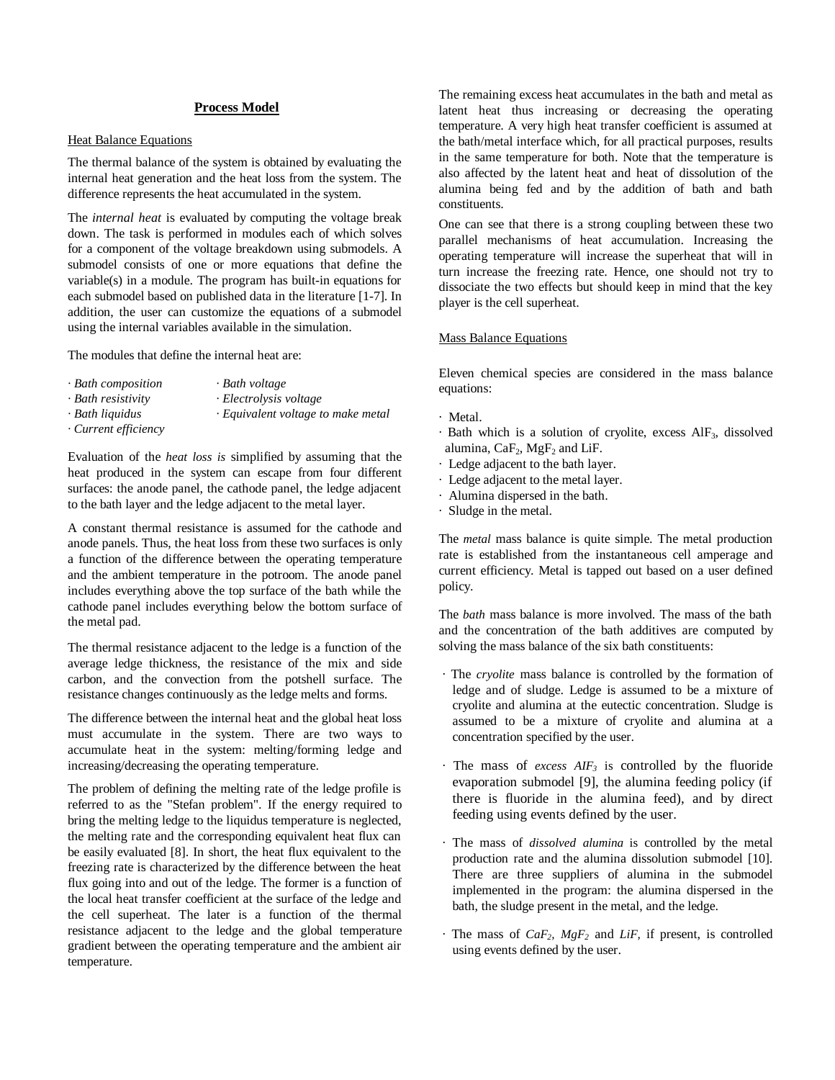# **Process Model**

## Heat Balance Equations

The thermal balance of the system is obtained by evaluating the internal heat generation and the heat loss from the system. The difference represents the heat accumulated in the system.

The *internal heat* is evaluated by computing the voltage break down. The task is performed in modules each of which solves for a component of the voltage breakdown using submodels. A submodel consists of one or more equations that define the variable(s) in a module. The program has built-in equations for each submodel based on published data in the literature [1-7]. In addition, the user can customize the equations of a submodel using the internal variables available in the simulation.

The modules that define the internal heat are:

- *· Bath composition · Bath voltage*
- *· Bath resistivity · Electrolysis voltage*
- 
- 
- *· Current efficiency*
- *· Bath liquidus · Equivalent voltage to make metal*

Evaluation of the *heat loss is* simplified by assuming that the heat produced in the system can escape from four different surfaces: the anode panel, the cathode panel, the ledge adjacent to the bath layer and the ledge adjacent to the metal layer.

A constant thermal resistance is assumed for the cathode and anode panels. Thus, the heat loss from these two surfaces is only a function of the difference between the operating temperature and the ambient temperature in the potroom. The anode panel includes everything above the top surface of the bath while the cathode panel includes everything below the bottom surface of the metal pad.

The thermal resistance adjacent to the ledge is a function of the average ledge thickness, the resistance of the mix and side carbon, and the convection from the potshell surface. The resistance changes continuously as the ledge melts and forms.

The difference between the internal heat and the global heat loss must accumulate in the system. There are two ways to accumulate heat in the system: melting/forming ledge and increasing/decreasing the operating temperature.

The problem of defining the melting rate of the ledge profile is referred to as the "Stefan problem". If the energy required to bring the melting ledge to the liquidus temperature is neglected, the melting rate and the corresponding equivalent heat flux can be easily evaluated [8]. In short, the heat flux equivalent to the freezing rate is characterized by the difference between the heat flux going into and out of the ledge. The former is a function of the local heat transfer coefficient at the surface of the ledge and the cell superheat. The later is a function of the thermal resistance adjacent to the ledge and the global temperature gradient between the operating temperature and the ambient air temperature.

The remaining excess heat accumulates in the bath and metal as latent heat thus increasing or decreasing the operating temperature. A very high heat transfer coefficient is assumed at the bath/metal interface which, for all practical purposes, results in the same temperature for both. Note that the temperature is also affected by the latent heat and heat of dissolution of the alumina being fed and by the addition of bath and bath constituents.

One can see that there is a strong coupling between these two parallel mechanisms of heat accumulation. Increasing the operating temperature will increase the superheat that will in turn increase the freezing rate. Hence, one should not try to dissociate the two effects but should keep in mind that the key player is the cell superheat.

## Mass Balance Equations

Eleven chemical species are considered in the mass balance equations:

- · Metal.
- $\cdot$  Bath which is a solution of cryolite, excess AlF<sub>3</sub>, dissolved alumina,  $CaF<sub>2</sub>$ ,  $MgF<sub>2</sub>$  and LiF.
- · Ledge adjacent to the bath layer.
- · Ledge adjacent to the metal layer.
- · Alumina dispersed in the bath.
- · Sludge in the metal.

The *metal* mass balance is quite simple. The metal production rate is established from the instantaneous cell amperage and current efficiency. Metal is tapped out based on a user defined policy.

The *bath* mass balance is more involved. The mass of the bath and the concentration of the bath additives are computed by solving the mass balance of the six bath constituents:

- · The *cryolite* mass balance is controlled by the formation of ledge and of sludge. Ledge is assumed to be a mixture of cryolite and alumina at the eutectic concentration. Sludge is assumed to be a mixture of cryolite and alumina at a concentration specified by the user.
- The mass of *excess AIF*<sup>3</sup> is controlled by the fluoride evaporation submodel [9], the alumina feeding policy (if there is fluoride in the alumina feed), and by direct feeding using events defined by the user.
- · The mass of *dissolved alumina* is controlled by the metal production rate and the alumina dissolution submodel [10]. There are three suppliers of alumina in the submodel implemented in the program: the alumina dispersed in the bath, the sludge present in the metal, and the ledge.
- · The mass of *CaF2, MgF<sup>2</sup>* and *LiF,* if present, is controlled using events defined by the user.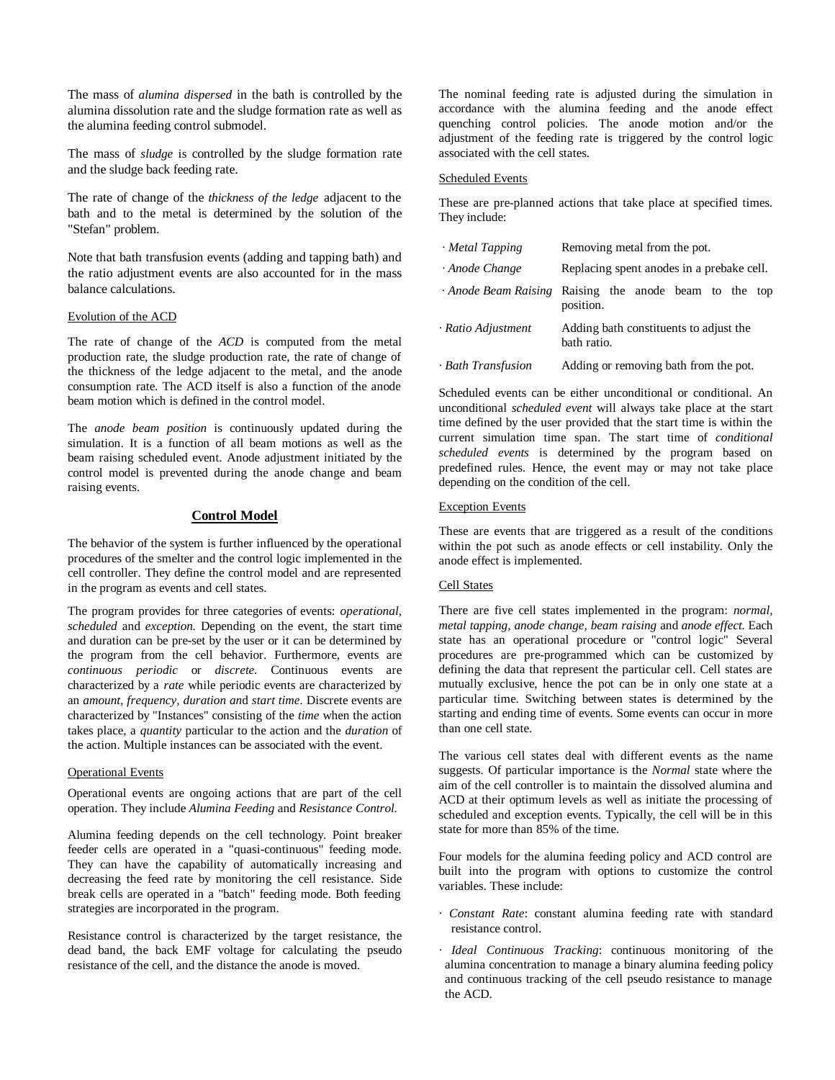The mass of *alumina dispersed* in the bath is controlled by the alumina dissolution rate and the sludge formation rate as well as the alumina feeding control submodel.

The mass of *sludge* is controlled by the sludge formation rate and the sludge back feeding rate.

The rate of change of the *thickness of the ledge* adjacent to the bath and to the metal is determined by the solution of the "Stefan" problem.

Note that bath transfusion events (adding and tapping bath) and the ratio adjustment events are also accounted for in the mass balance calculations.

#### Evolution of the ACD

The rate of change of the *ACD* is computed from the metal production rate, the sludge production rate, the rate of change of the thickness of the ledge adjacent to the metal, and the anode consumption rate. The ACD itself is also a function of the anode beam motion which is defined in the control model.

The *anode beam position* is continuously updated during the simulation. It is a function of all beam motions as well as the beam raising scheduled event. Anode adjustment initiated by the control model is prevented during the anode change and beam raising events.

# **Control Model**

The behavior of the system is further influenced by the operational procedures of the smelter and the control logic implemented in the cell controller. They define the control model and are represented in the program as events and cell states.

The program provides for three categories of events: *operational, scheduled* and *exception.* Depending on the event, the start time and duration can be pre-set by the user or it can be determined by the program from the cell behavior. Furthermore, events are *continuous periodic* or *discrete.* Continuous events are characterized by a *rate* while periodic events are characterized by an *amount, frequency, duration an*d *start time.* Discrete events are characterized by "Instances" consisting of the *time* when the action takes place, a *quantity* particular to the action and the *duration* of the action. Multiple instances can be associated with the event.

## Operational Events

Operational events are ongoing actions that are part of the cell operation. They include *Alumina Feeding* and *Resistance Control.*

Alumina feeding depends on the cell technology. Point breaker feeder cells are operated in a "quasi-continuous" feeding mode. They can have the capability of automatically increasing and decreasing the feed rate by monitoring the cell resistance. Side break cells are operated in a "batch" feeding mode. Both feeding strategies are incorporated in the program.

Resistance control is characterized by the target resistance, the dead band, the back EMF voltage for calculating the pseudo resistance of the cell, and the distance the anode is moved.

The nominal feeding rate is adjusted during the simulation in accordance with the alumina feeding and the anode effect quenching control policies. The anode motion and/or the adjustment of the feeding rate is triggered by the control logic associated with the cell states.

## Scheduled Events

These are pre-planned actions that take place at specified times. They include:

| · Metal Tapping    | Removing metal from the pot.                                      |  |  |  |
|--------------------|-------------------------------------------------------------------|--|--|--|
| · Anode Change     | Replacing spent anodes in a prebake cell.                         |  |  |  |
|                    | Anode Beam Raising Raising the anode beam to the top<br>position. |  |  |  |
| · Ratio Adjustment | Adding bath constituents to adjust the<br>bath ratio.             |  |  |  |
| · Bath Transfusion | Adding or removing bath from the pot.                             |  |  |  |

Scheduled events can be either unconditional or conditional. An unconditional *scheduled event* will always take place at the start time defined by the user provided that the start time is within the current simulation time span. The start time of *conditional scheduled events* is determined by the program based on predefined rules. Hence, the event may or may not take place depending on the condition of the cell.

#### Exception Events

These are events that are triggered as a result of the conditions within the pot such as anode effects or cell instability. Only the anode effect is implemented.

# Cell States

There are five cell states implemented in the program: *normal, metal tapping, anode change, beam raising* and *anode effect.* Each state has an operational procedure or "control logic" Several procedures are pre-programmed which can be customized by defining the data that represent the particular cell. Cell states are mutually exclusive, hence the pot can be in only one state at a particular time. Switching between states is determined by the starting and ending time of events. Some events can occur in more than one cell state.

The various cell states deal with different events as the name suggests. Of particular importance is the *Normal* state where the aim of the cell controller is to maintain the dissolved alumina and ACD at their optimum levels as well as initiate the processing of scheduled and exception events. Typically, the cell will be in this state for more than 85% of the time.

Four models for the alumina feeding policy and ACD control are built into the program with options to customize the control variables. These include:

- *· Constant Rate*: constant alumina feeding rate with standard resistance control.
- *· Ideal Continuous Tracking*: continuous monitoring of the alumina concentration to manage a binary alumina feeding policy and continuous tracking of the cell pseudo resistance to manage the ACD.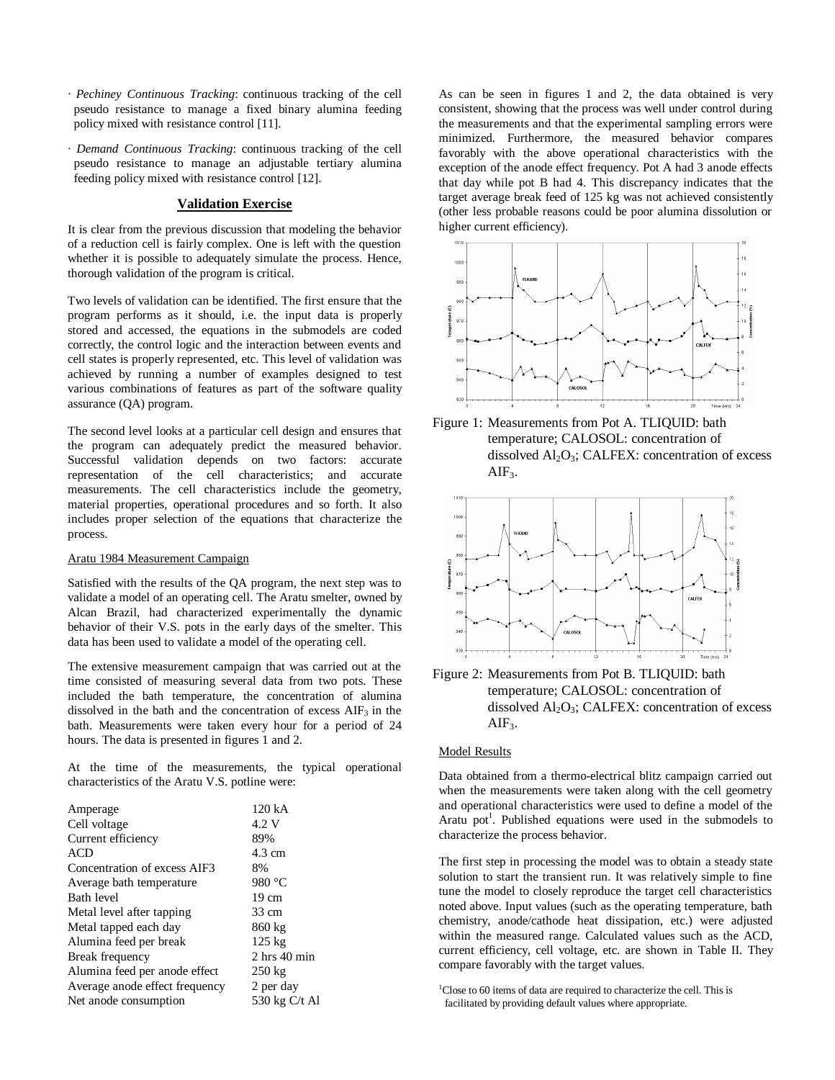- *· Pechiney Continuous Tracking*: continuous tracking of the cell pseudo resistance to manage a fixed binary alumina feeding policy mixed with resistance control [11].
- *· Demand Continuous Tracking*: continuous tracking of the cell pseudo resistance to manage an adjustable tertiary alumina feeding policy mixed with resistance control [12].

# **Validation Exercise**

It is clear from the previous discussion that modeling the behavior of a reduction cell is fairly complex. One is left with the question whether it is possible to adequately simulate the process. Hence, thorough validation of the program is critical.

Two levels of validation can be identified. The first ensure that the program performs as it should, i.e. the input data is properly stored and accessed, the equations in the submodels are coded correctly, the control logic and the interaction between events and cell states is properly represented, etc. This level of validation was achieved by running a number of examples designed to test various combinations of features as part of the software quality assurance (QA) program.

The second level looks at a particular cell design and ensures that the program can adequately predict the measured behavior. Successful validation depends on two factors: accurate representation of the cell characteristics; and accurate measurements. The cell characteristics include the geometry, material properties, operational procedures and so forth. It also includes proper selection of the equations that characterize the process.

## Aratu 1984 Measurement Campaign

Satisfied with the results of the QA program, the next step was to validate a model of an operating cell. The Aratu smelter, owned by Alcan Brazil, had characterized experimentally the dynamic behavior of their V.S. pots in the early days of the smelter. This data has been used to validate a model of the operating cell.

The extensive measurement campaign that was carried out at the time consisted of measuring several data from two pots. These included the bath temperature, the concentration of alumina dissolved in the bath and the concentration of excess AIF<sub>3</sub> in the bath. Measurements were taken every hour for a period of 24 hours. The data is presented in figures 1 and 2.

At the time of the measurements, the typical operational characteristics of the Aratu V.S. potline were:

| Amperage                       | 120 kA           |
|--------------------------------|------------------|
| Cell voltage                   | 4.2 V            |
| Current efficiency             | 89%              |
| ACD                            | 4.3 cm           |
| Concentration of excess AIF3   | 8%               |
| Average bath temperature       | 980 °C           |
| <b>Bath level</b>              | $19 \text{ cm}$  |
| Metal level after tapping      | 33 cm            |
| Metal tapped each day          | 860 kg           |
| Alumina feed per break         | $125 \text{ kg}$ |
| Break frequency                | $2$ hrs $40$ min |
| Alumina feed per anode effect  | $250 \text{ kg}$ |
| Average anode effect frequency | 2 per day        |
| Net anode consumption          | 530 kg C/t Al    |

As can be seen in figures 1 and 2, the data obtained is very consistent, showing that the process was well under control during the measurements and that the experimental sampling errors were minimized. Furthermore, the measured behavior compares favorably with the above operational characteristics with the exception of the anode effect frequency. Pot A had 3 anode effects that day while pot B had 4. This discrepancy indicates that the target average break feed of 125 kg was not achieved consistently (other less probable reasons could be poor alumina dissolution or higher current efficiency).







temperature; CALOSOL: concentration of dissolved  $Al_2O_3$ ; CALFEX: concentration of excess  $AIF<sub>3</sub>$ .

#### Model Results

Data obtained from a thermo-electrical blitz campaign carried out when the measurements were taken along with the cell geometry and operational characteristics were used to define a model of the Aratu pot<sup>1</sup>. Published equations were used in the submodels to characterize the process behavior.

The first step in processing the model was to obtain a steady state solution to start the transient run. It was relatively simple to fine tune the model to closely reproduce the target cell characteristics noted above. Input values (such as the operating temperature, bath chemistry, anode/cathode heat dissipation, etc.) were adjusted within the measured range. Calculated values such as the ACD, current efficiency, cell voltage, etc. are shown in Table II. They compare favorably with the target values.

<sup>1</sup>Close to 60 items of data are required to characterize the cell. This is facilitated by providing default values where appropriate.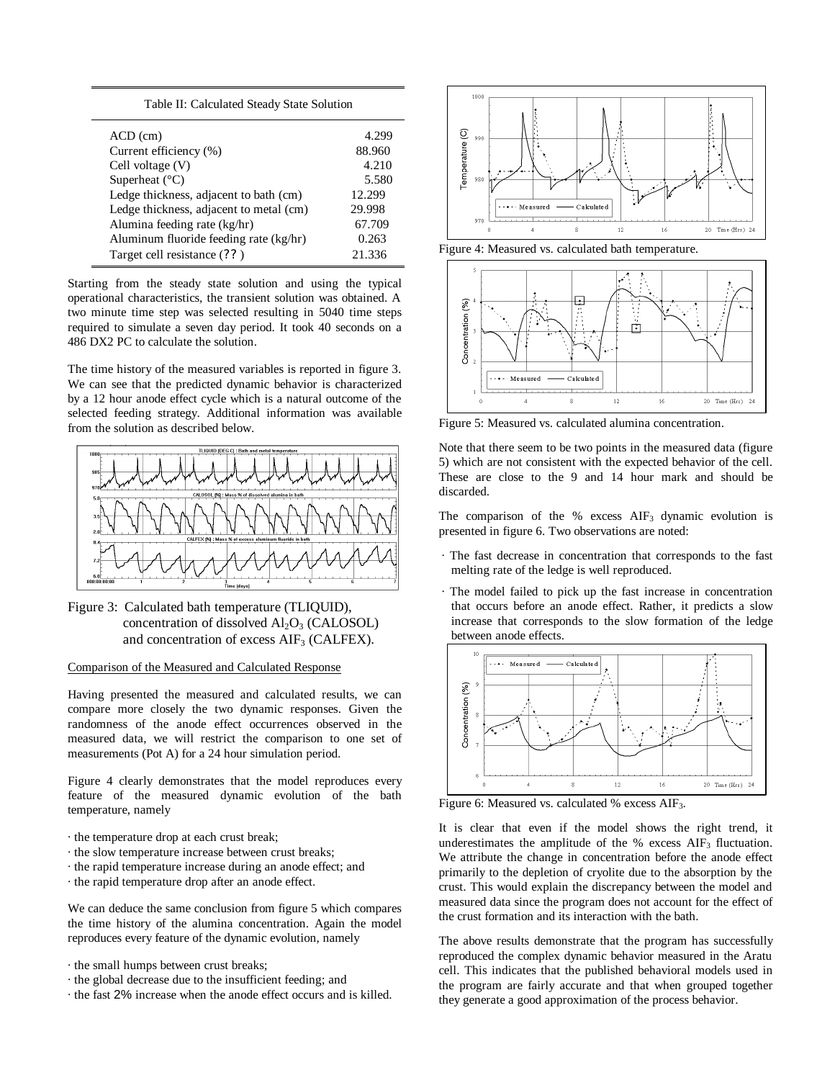|  | Table II: Calculated Steady State Solution |  |  |  |
|--|--------------------------------------------|--|--|--|
|--|--------------------------------------------|--|--|--|

| $ACD$ (cm)                              | 4.299  |
|-----------------------------------------|--------|
| Current efficiency (%)                  | 88.960 |
| Cell voltage $(V)$                      | 4.210  |
| Superheat $(^{\circ}C)$                 | 5.580  |
| Ledge thickness, adjacent to bath (cm)  | 12.299 |
| Ledge thickness, adjacent to metal (cm) | 29.998 |
| Alumina feeding rate (kg/hr)            | 67.709 |
| Aluminum fluoride feeding rate (kg/hr)  | 0.263  |
| Target cell resistance (??)             | 21.336 |

Starting from the steady state solution and using the typical operational characteristics, the transient solution was obtained. A two minute time step was selected resulting in 5040 time steps required to simulate a seven day period. It took 40 seconds on a 486 DX2 PC to calculate the solution.

The time history of the measured variables is reported in figure 3. We can see that the predicted dynamic behavior is characterized by a 12 hour anode effect cycle which is a natural outcome of the selected feeding strategy. Additional information was available from the solution as described below.



Figure 3: Calculated bath temperature (TLIQUID), concentration of dissolved  $Al_2O_3$  (CALOSOL) and concentration of excess AIF<sub>3</sub> (CALFEX).

## Comparison of the Measured and Calculated Response

Having presented the measured and calculated results, we can compare more closely the two dynamic responses. Given the randomness of the anode effect occurrences observed in the measured data, we will restrict the comparison to one set of measurements (Pot A) for a 24 hour simulation period.

Figure 4 clearly demonstrates that the model reproduces every feature of the measured dynamic evolution of the bath temperature, namely

- · the temperature drop at each crust break;
- · the slow temperature increase between crust breaks;
- · the rapid temperature increase during an anode effect; and
- · the rapid temperature drop after an anode effect.

We can deduce the same conclusion from figure 5 which compares the time history of the alumina concentration. Again the model reproduces every feature of the dynamic evolution, namely

- · the small humps between crust breaks;
- · the global decrease due to the insufficient feeding; and
- · the fast 2% increase when the anode effect occurs and is killed.



Figure 4: Measured vs. calculated bath temperature.



Figure 5: Measured vs. calculated alumina concentration.

Note that there seem to be two points in the measured data (figure 5) which are not consistent with the expected behavior of the cell. These are close to the 9 and 14 hour mark and should be discarded.

The comparison of the % excess  $AIF_3$  dynamic evolution is presented in figure 6. Two observations are noted:

- · The fast decrease in concentration that corresponds to the fast melting rate of the ledge is well reproduced.
- · The model failed to pick up the fast increase in concentration that occurs before an anode effect. Rather, it predicts a slow increase that corresponds to the slow formation of the ledge between anode effects.



Figure 6: Measured vs. calculated % excess AIF3.

It is clear that even if the model shows the right trend, it underestimates the amplitude of the  $%$  excess AIF<sub>3</sub> fluctuation. We attribute the change in concentration before the anode effect primarily to the depletion of cryolite due to the absorption by the crust. This would explain the discrepancy between the model and measured data since the program does not account for the effect of the crust formation and its interaction with the bath.

The above results demonstrate that the program has successfully reproduced the complex dynamic behavior measured in the Aratu cell. This indicates that the published behavioral models used in the program are fairly accurate and that when grouped together they generate a good approximation of the process behavior.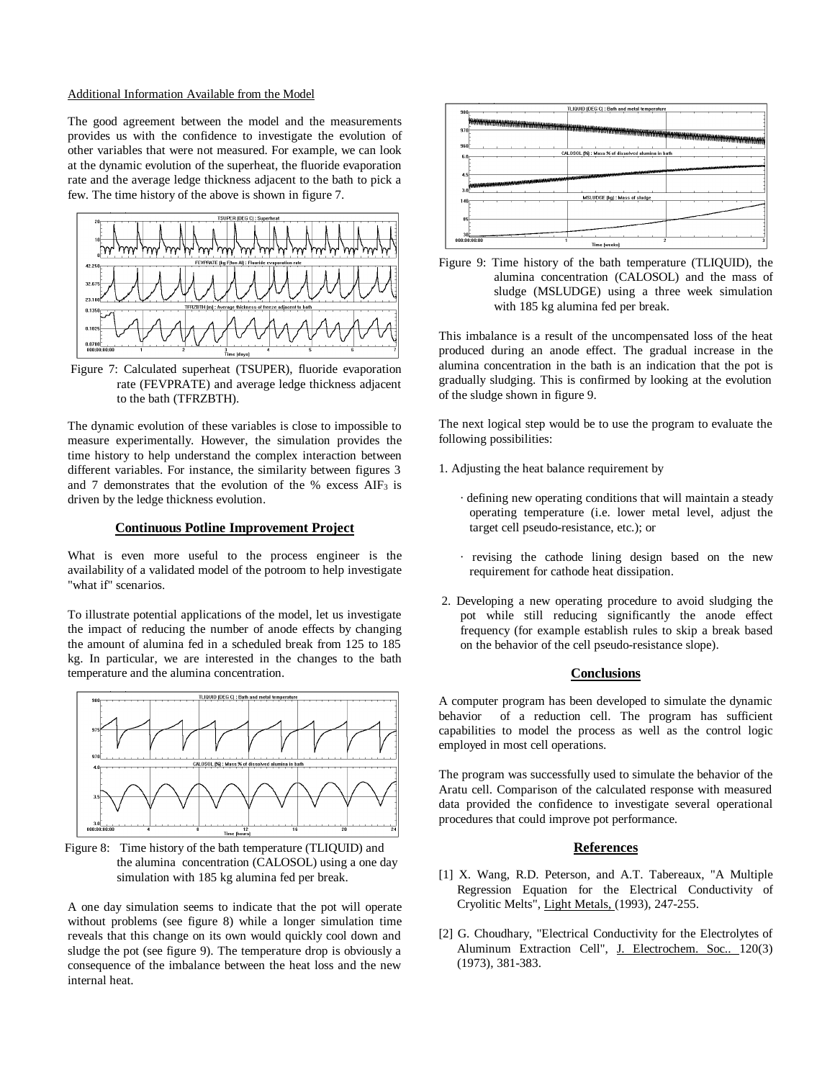#### Additional Information Available from the Model

The good agreement between the model and the measurements provides us with the confidence to investigate the evolution of other variables that were not measured. For example, we can look at the dynamic evolution of the superheat, the fluoride evaporation rate and the average ledge thickness adjacent to the bath to pick a few. The time history of the above is shown in figure 7.



Figure 7: Calculated superheat (TSUPER), fluoride evaporation rate (FEVPRATE) and average ledge thickness adjacent to the bath (TFRZBTH).

The dynamic evolution of these variables is close to impossible to measure experimentally. However, the simulation provides the time history to help understand the complex interaction between different variables. For instance, the similarity between figures 3 and 7 demonstrates that the evolution of the % excess  $AIF_3$  is driven by the ledge thickness evolution.

## **Continuous Potline Improvement Project**

What is even more useful to the process engineer is the availability of a validated model of the potroom to help investigate "what if" scenarios.

To illustrate potential applications of the model, let us investigate the impact of reducing the number of anode effects by changing the amount of alumina fed in a scheduled break from 125 to 185 kg. In particular, we are interested in the changes to the bath temperature and the alumina concentration.



Figure 8: Time history of the bath temperature (TLIQUID) and the alumina concentration (CALOSOL) using a one day simulation with 185 kg alumina fed per break.

A one day simulation seems to indicate that the pot will operate without problems (see figure 8) while a longer simulation time reveals that this change on its own would quickly cool down and sludge the pot (see figure 9). The temperature drop is obviously a consequence of the imbalance between the heat loss and the new internal heat.





This imbalance is a result of the uncompensated loss of the heat produced during an anode effect. The gradual increase in the alumina concentration in the bath is an indication that the pot is gradually sludging. This is confirmed by looking at the evolution of the sludge shown in figure 9.

The next logical step would be to use the program to evaluate the following possibilities:

- 1. Adjusting the heat balance requirement by
	- · defining new operating conditions that will maintain a steady operating temperature (i.e. lower metal level, adjust the target cell pseudo-resistance, etc.); or
	- · revising the cathode lining design based on the new requirement for cathode heat dissipation.
- 2. Developing a new operating procedure to avoid sludging the pot while still reducing significantly the anode effect frequency (for example establish rules to skip a break based on the behavior of the cell pseudo-resistance slope).

# **Conclusions**

A computer program has been developed to simulate the dynamic behavior of a reduction cell. The program has sufficient capabilities to model the process as well as the control logic employed in most cell operations.

The program was successfully used to simulate the behavior of the Aratu cell. Comparison of the calculated response with measured data provided the confidence to investigate several operational procedures that could improve pot performance.

# **References**

- [1] X. Wang, R.D. Peterson, and A.T. Tabereaux, "A Multiple Regression Equation for the Electrical Conductivity of Cryolitic Melts", Light Metals, (1993), 247-255.
- [2] G. Choudhary, "Electrical Conductivity for the Electrolytes of Aluminum Extraction Cell", J. Electrochem. Soc.. 120(3) (1973), 381-383.